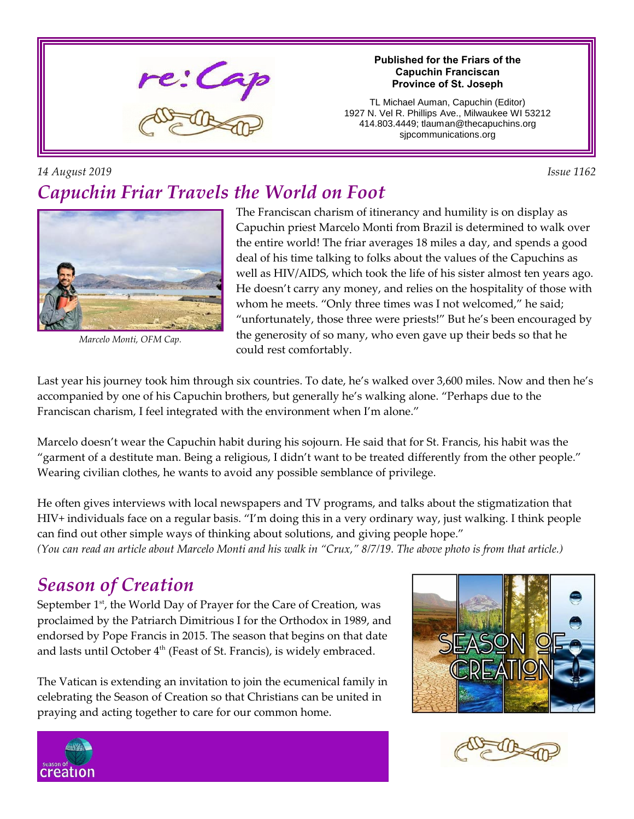

#### **Published for the Friars of the Capuchin Franciscan Province of St. Joseph**

TL Michael Auman, Capuchin (Editor) 1927 N. Vel R. Phillips Ave., Milwaukee WI 53212 414.803.4449; tlauman@thecapuchins.org sjpcommunications.org

*14 August 2019 Issue 1162*

# *Capuchin Friar Travels the World on Foot*



*Marcelo Monti, OFM Cap.*

The Franciscan charism of itinerancy and humility is on display as Capuchin priest Marcelo Monti from Brazil is determined to walk over the entire world! The friar averages 18 miles a day, and spends a good deal of his time talking to folks about the values of the Capuchins as well as HIV/AIDS, which took the life of his sister almost ten years ago. He doesn't carry any money, and relies on the hospitality of those with whom he meets. "Only three times was I not welcomed," he said; "unfortunately, those three were priests!" But he's been encouraged by the generosity of so many, who even gave up their beds so that he could rest comfortably.

Last year his journey took him through six countries. To date, he's walked over 3,600 miles. Now and then he's accompanied by one of his Capuchin brothers, but generally he's walking alone. "Perhaps due to the Franciscan charism, I feel integrated with the environment when I'm alone."

Marcelo doesn't wear the Capuchin habit during his sojourn. He said that for St. Francis, his habit was the "garment of a destitute man. Being a religious, I didn't want to be treated differently from the other people." Wearing civilian clothes, he wants to avoid any possible semblance of privilege.

He often gives interviews with local newspapers and TV programs, and talks about the stigmatization that HIV+ individuals face on a regular basis. "I'm doing this in a very ordinary way, just walking. I think people can find out other simple ways of thinking about solutions, and giving people hope."

*(You can read an article about Marcelo Monti and his walk in "Crux," 8/7/19. The above photo is from that article.)*

## *Season of Creation*

September  $1<sup>st</sup>$ , the World Day of Prayer for the Care of Creation, was proclaimed by the Patriarch Dimitrious I for the Orthodox in 1989, and endorsed by Pope Francis in 2015. The season that begins on that date and lasts until October 4<sup>th</sup> (Feast of St. Francis), is widely embraced.

The Vatican is extending an invitation to join the ecumenical family in celebrating the Season of Creation so that Christians can be united in praying and acting together to care for our common home.





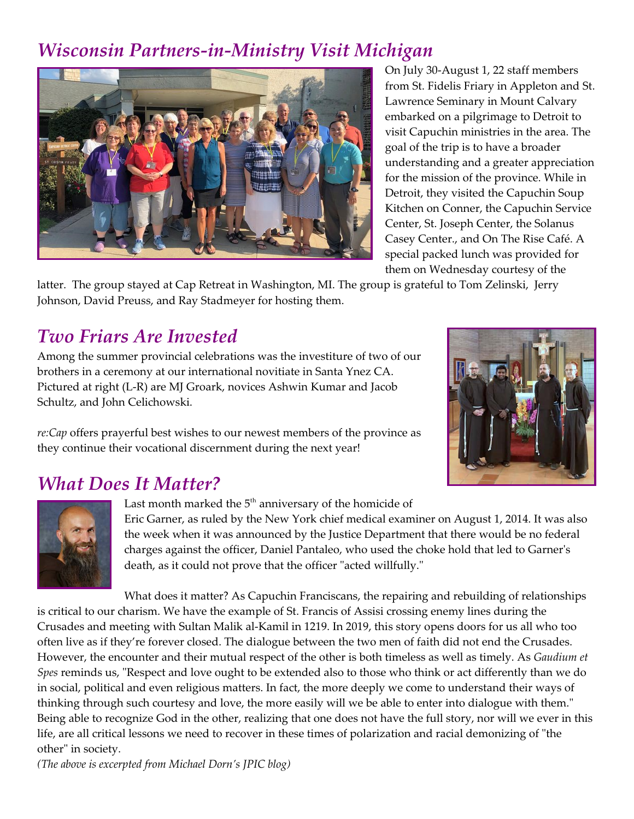## *Wisconsin Partners-in-Ministry Visit Michigan*



On July 30-August 1, 22 staff members from St. Fidelis Friary in Appleton and St. Lawrence Seminary in Mount Calvary embarked on a pilgrimage to Detroit to visit Capuchin ministries in the area. The goal of the trip is to have a broader understanding and a greater appreciation for the mission of the province. While in Detroit, they visited the Capuchin Soup Kitchen on Conner, the Capuchin Service Center, St. Joseph Center, the Solanus Casey Center., and On The Rise Café. A special packed lunch was provided for them on Wednesday courtesy of the

latter. The group stayed at Cap Retreat in Washington, MI. The group is grateful to Tom Zelinski, Jerry Johnson, David Preuss, and Ray Stadmeyer for hosting them.

## *Two Friars Are Invested*

Among the summer provincial celebrations was the investiture of two of our brothers in a ceremony at our international novitiate in Santa Ynez CA. Pictured at right (L-R) are MJ Groark, novices Ashwin Kumar and Jacob Schultz, and John Celichowski.

*re:Cap* offers prayerful best wishes to our newest members of the province as they continue their vocational discernment during the next year!



## *What Does It Matter?*



Last month marked the  $5<sup>th</sup>$  anniversary of the homicide of

Eric Garner, as ruled by the New York chief medical examiner on August 1, 2014. It was also the week when it was announced by the Justice Department that there would be no federal charges against the officer, Daniel Pantaleo, who used the choke hold that led to Garner's death, as it could not prove that the officer "acted willfully."

What does it matter? As Capuchin Franciscans, the repairing and rebuilding of relationships is critical to our charism. We have the example of St. Francis of Assisi crossing enemy lines during the Crusades and meeting with Sultan Malik al-Kamil in 1219. In 2019, this story opens doors for us all who too often live as if they're forever closed. The dialogue between the two men of faith did not end the Crusades. However, the encounter and their mutual respect of the other is both timeless as well as timely. As *Gaudium et Spes* reminds us, "Respect and love ought to be extended also to those who think or act differently than we do in social, political and even religious matters. In fact, the more deeply we come to understand their ways of thinking through such courtesy and love, the more easily will we be able to enter into dialogue with them." Being able to recognize God in the other, realizing that one does not have the full story, nor will we ever in this life, are all critical lessons we need to recover in these times of polarization and racial demonizing of "the other" in society.

*(The above is excerpted from Michael Dorn's JPIC blog)*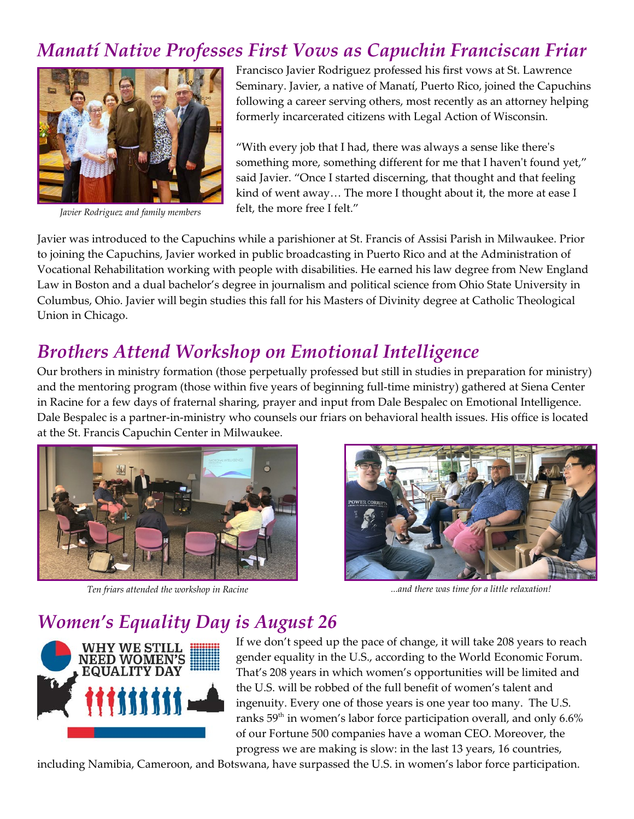## *Manatí Native Professes First Vows as Capuchin Franciscan Friar*



*Javier Rodriguez and family members*

Francisco Javier Rodriguez professed his first vows at St. Lawrence Seminary. Javier, a native of Manatí, Puerto Rico, joined the Capuchins following a career serving others, most recently as an attorney helping formerly incarcerated citizens with Legal Action of Wisconsin.

"With every job that I had, there was always a sense like there's something more, something different for me that I haven't found yet," said Javier. "Once I started discerning, that thought and that feeling kind of went away… The more I thought about it, the more at ease I felt, the more free I felt."

Javier was introduced to the Capuchins while a parishioner at St. Francis of Assisi Parish in Milwaukee. Prior to joining the Capuchins, Javier worked in public broadcasting in Puerto Rico and at the Administration of Vocational Rehabilitation working with people with disabilities. He earned his law degree from New England Law in Boston and a dual bachelor's degree in journalism and political science from Ohio State University in Columbus, Ohio. Javier will begin studies this fall for his Masters of Divinity degree at Catholic Theological Union in Chicago.

#### *Brothers Attend Workshop on Emotional Intelligence*

Our brothers in ministry formation (those perpetually professed but still in studies in preparation for ministry) and the mentoring program (those within five years of beginning full-time ministry) gathered at Siena Center in Racine for a few days of fraternal sharing, prayer and input from Dale Bespalec on Emotional Intelligence. Dale Bespalec is a partner-in-ministry who counsels our friars on behavioral health issues. His office is located at the St. Francis Capuchin Center in Milwaukee.



*Ten friars attended the workshop in Racine ...and there was time for a little relaxation!*



## *Women's Equality Day is August 26*



If we don't speed up the pace of change, it will take 208 years to reach gender equality in the U.S., according to the World Economic Forum. That's 208 years in which women's opportunities will be limited and the U.S. will be robbed of the full benefit of women's talent and ingenuity. Every one of those years is one year too many. The U.S. ranks 59<sup>th</sup> in women's labor force participation overall, and only 6.6% of our Fortune 500 companies have a woman CEO. Moreover, the progress we are making is slow: in the last 13 years, 16 countries,

including Namibia, Cameroon, and Botswana, have surpassed the U.S. in women's labor force participation.